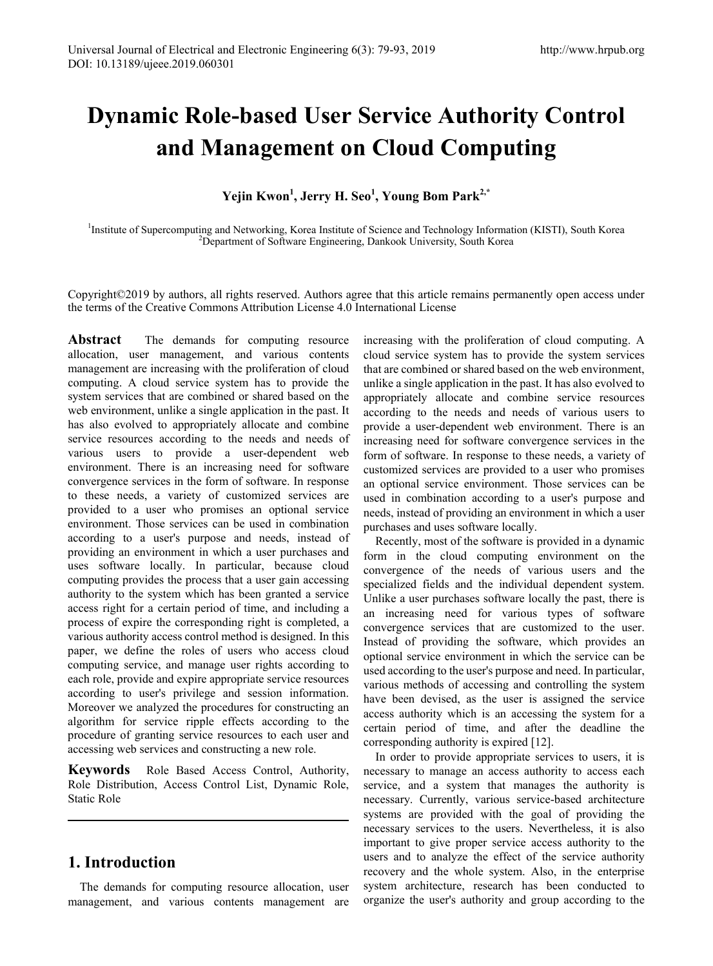# **Dynamic Role-based User Service Authority Control and Management on Cloud Computing**

**Yejin Kwon<sup>1</sup> , Jerry H. Seo<sup>1</sup> , Young Bom Park2,\***

<sup>1</sup>Institute of Supercomputing and Networking, Korea Institute of Science and Technology Information (KISTI), South Korea <sup>2</sup>Department of Software Engineering, Dankook University, South Korea <sup>2</sup>Department of Software Engineering, Dankook University, South Korea

Copyright©2019 by authors, all rights reserved. Authors agree that this article remains permanently open access under the terms of the Creative Commons Attribution License 4.0 International License

Abstract The demands for computing resource allocation, user management, and various contents management are increasing with the proliferation of cloud computing. A cloud service system has to provide the system services that are combined or shared based on the web environment, unlike a single application in the past. It has also evolved to appropriately allocate and combine service resources according to the needs and needs of various users to provide a user-dependent web environment. There is an increasing need for software convergence services in the form of software. In response to these needs, a variety of customized services are provided to a user who promises an optional service environment. Those services can be used in combination according to a user's purpose and needs, instead of providing an environment in which a user purchases and uses software locally. In particular, because cloud computing provides the process that a user gain accessing authority to the system which has been granted a service access right for a certain period of time, and including a process of expire the corresponding right is completed, a various authority access control method is designed. In this paper, we define the roles of users who access cloud computing service, and manage user rights according to each role, provide and expire appropriate service resources according to user's privilege and session information. Moreover we analyzed the procedures for constructing an algorithm for service ripple effects according to the procedure of granting service resources to each user and accessing web services and constructing a new role.

**Keywords** Role Based Access Control, Authority, Role Distribution, Access Control List, Dynamic Role, Static Role

# **1. Introduction**

The demands for computing resource allocation, user management, and various contents management are

increasing with the proliferation of cloud computing. A cloud service system has to provide the system services that are combined or shared based on the web environment, unlike a single application in the past. It has also evolved to appropriately allocate and combine service resources according to the needs and needs of various users to provide a user-dependent web environment. There is an increasing need for software convergence services in the form of software. In response to these needs, a variety of customized services are provided to a user who promises an optional service environment. Those services can be used in combination according to a user's purpose and needs, instead of providing an environment in which a user purchases and uses software locally.

Recently, most of the software is provided in a dynamic form in the cloud computing environment on the convergence of the needs of various users and the specialized fields and the individual dependent system. Unlike a user purchases software locally the past, there is an increasing need for various types of software convergence services that are customized to the user. Instead of providing the software, which provides an optional service environment in which the service can be used according to the user's purpose and need. In particular, various methods of accessing and controlling the system have been devised, as the user is assigned the service access authority which is an accessing the system for a certain period of time, and after the deadline the corresponding authority is expired [12].

In order to provide appropriate services to users, it is necessary to manage an access authority to access each service, and a system that manages the authority is necessary. Currently, various service-based architecture systems are provided with the goal of providing the necessary services to the users. Nevertheless, it is also important to give proper service access authority to the users and to analyze the effect of the service authority recovery and the whole system. Also, in the enterprise system architecture, research has been conducted to organize the user's authority and group according to the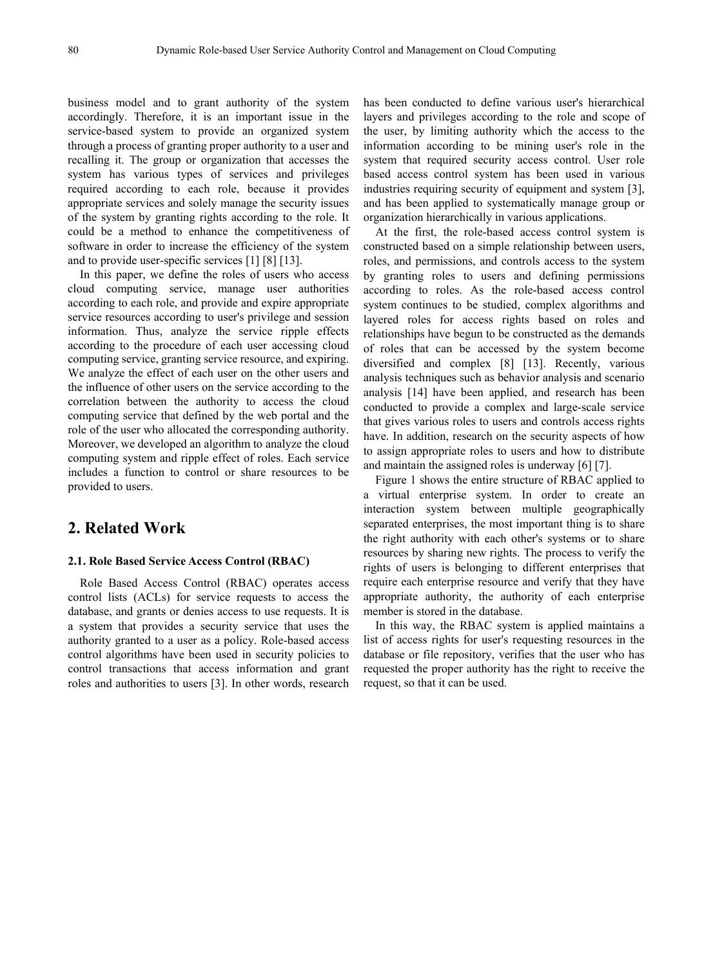business model and to grant authority of the system accordingly. Therefore, it is an important issue in the service-based system to provide an organized system through a process of granting proper authority to a user and recalling it. The group or organization that accesses the system has various types of services and privileges required according to each role, because it provides appropriate services and solely manage the security issues of the system by granting rights according to the role. It could be a method to enhance the competitiveness of software in order to increase the efficiency of the system and to provide user-specific services [1] [8] [13].

In this paper, we define the roles of users who access cloud computing service, manage user authorities according to each role, and provide and expire appropriate service resources according to user's privilege and session information. Thus, analyze the service ripple effects according to the procedure of each user accessing cloud computing service, granting service resource, and expiring. We analyze the effect of each user on the other users and the influence of other users on the service according to the correlation between the authority to access the cloud computing service that defined by the web portal and the role of the user who allocated the corresponding authority. Moreover, we developed an algorithm to analyze the cloud computing system and ripple effect of roles. Each service includes a function to control or share resources to be provided to users.

## **2. Related Work**

## **2.1. Role Based Service Access Control (RBAC)**

Role Based Access Control (RBAC) operates access control lists (ACLs) for service requests to access the database, and grants or denies access to use requests. It is a system that provides a security service that uses the authority granted to a user as a policy. Role-based access control algorithms have been used in security policies to control transactions that access information and grant roles and authorities to users [3]. In other words, research

has been conducted to define various user's hierarchical layers and privileges according to the role and scope of the user, by limiting authority which the access to the information according to be mining user's role in the system that required security access control. User role based access control system has been used in various industries requiring security of equipment and system [3], and has been applied to systematically manage group or organization hierarchically in various applications.

At the first, the role-based access control system is constructed based on a simple relationship between users, roles, and permissions, and controls access to the system by granting roles to users and defining permissions according to roles. As the role-based access control system continues to be studied, complex algorithms and layered roles for access rights based on roles and relationships have begun to be constructed as the demands of roles that can be accessed by the system become diversified and complex [8] [13]. Recently, various analysis techniques such as behavior analysis and scenario analysis [14] have been applied, and research has been conducted to provide a complex and large-scale service that gives various roles to users and controls access rights have. In addition, research on the security aspects of how to assign appropriate roles to users and how to distribute and maintain the assigned roles is underway [6] [7].

Figure 1 shows the entire structure of RBAC applied to a virtual enterprise system. In order to create an interaction system between multiple geographically separated enterprises, the most important thing is to share the right authority with each other's systems or to share resources by sharing new rights. The process to verify the rights of users is belonging to different enterprises that require each enterprise resource and verify that they have appropriate authority, the authority of each enterprise member is stored in the database.

In this way, the RBAC system is applied maintains a list of access rights for user's requesting resources in the database or file repository, verifies that the user who has requested the proper authority has the right to receive the request, so that it can be used.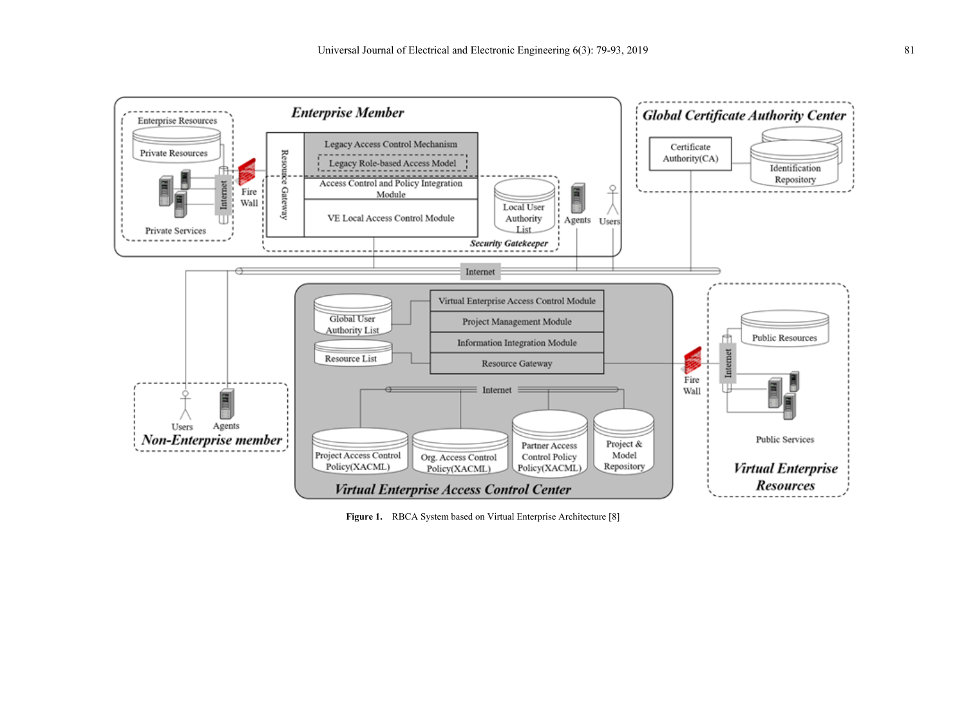

Figure 1. RBCA System based on Virtual Enterprise Architecture [8]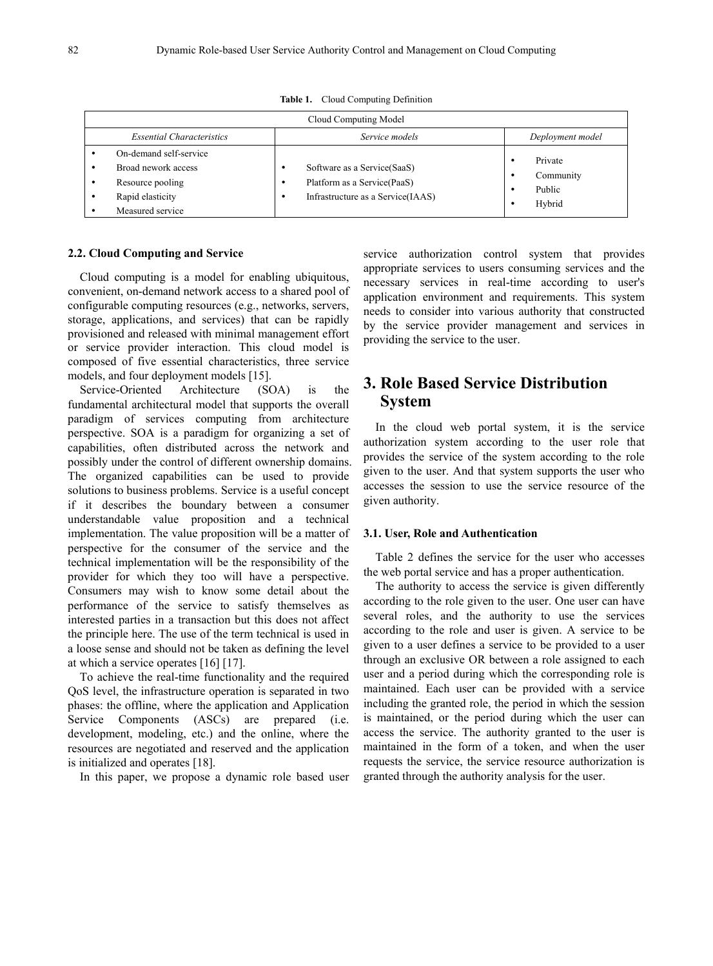| Cloud Computing Model |                                                                                                           |                                                                                                                 |                                          |  |  |
|-----------------------|-----------------------------------------------------------------------------------------------------------|-----------------------------------------------------------------------------------------------------------------|------------------------------------------|--|--|
|                       | <b>Essential Characteristics</b>                                                                          | Service models                                                                                                  | Deployment model                         |  |  |
|                       | On-demand self-service<br>Broad nework access<br>Resource pooling<br>Rapid elasticity<br>Measured service | Software as a Service (SaaS)<br>- -<br>Platform as a Service (PaaS)<br>- -<br>Infrastructure as a Service(IAAS) | Private<br>Community<br>Public<br>Hybrid |  |  |

**Table 1.** Cloud Computing Definition

## **2.2. Cloud Computing and Service**

Cloud computing is a model for enabling ubiquitous, convenient, on-demand network access to a shared pool of configurable computing resources (e.g., networks, servers, storage, applications, and services) that can be rapidly provisioned and released with minimal management effort or service provider interaction. This cloud model is composed of five essential characteristics, three service models, and four deployment models [15].

Service-Oriented Architecture (SOA) is the fundamental architectural model that supports the overall paradigm of services computing from architecture perspective. SOA is a paradigm for organizing a set of capabilities, often distributed across the network and possibly under the control of different ownership domains. The organized capabilities can be used to provide solutions to business problems. Service is a useful concept if it describes the boundary between a consumer understandable value proposition and a technical implementation. The value proposition will be a matter of perspective for the consumer of the service and the technical implementation will be the responsibility of the provider for which they too will have a perspective. Consumers may wish to know some detail about the performance of the service to satisfy themselves as interested parties in a transaction but this does not affect the principle here. The use of the term technical is used in a loose sense and should not be taken as defining the level at which a service operates [16] [17].

To achieve the real-time functionality and the required QoS level, the infrastructure operation is separated in two phases: the offline, where the application and Application Service Components (ASCs) are prepared (i.e. development, modeling, etc.) and the online, where the resources are negotiated and reserved and the application is initialized and operates [18].

In this paper, we propose a dynamic role based user

service authorization control system that provides appropriate services to users consuming services and the necessary services in real-time according to user's application environment and requirements. This system needs to consider into various authority that constructed by the service provider management and services in providing the service to the user.

# **3. Role Based Service Distribution System**

In the cloud web portal system, it is the service authorization system according to the user role that provides the service of the system according to the role given to the user. And that system supports the user who accesses the session to use the service resource of the given authority.

#### **3.1. User, Role and Authentication**

Table 2 defines the service for the user who accesses the web portal service and has a proper authentication.

The authority to access the service is given differently according to the role given to the user. One user can have several roles, and the authority to use the services according to the role and user is given. A service to be given to a user defines a service to be provided to a user through an exclusive OR between a role assigned to each user and a period during which the corresponding role is maintained. Each user can be provided with a service including the granted role, the period in which the session is maintained, or the period during which the user can access the service. The authority granted to the user is maintained in the form of a token, and when the user requests the service, the service resource authorization is granted through the authority analysis for the user.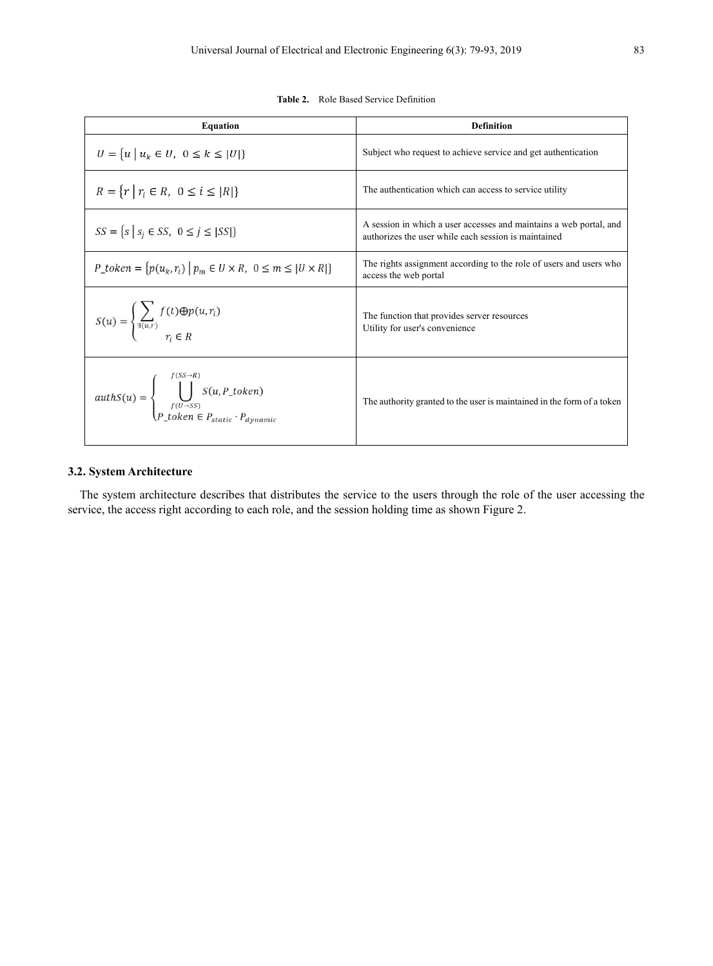**Table 2.** Role Based Service Definition

| <b>Equation</b>                                                                                                                      | <b>Definition</b>                                                                                                          |
|--------------------------------------------------------------------------------------------------------------------------------------|----------------------------------------------------------------------------------------------------------------------------|
| $U = \{u \mid u_k \in U, 0 \le k \le  U \}$                                                                                          | Subject who request to achieve service and get authentication                                                              |
| $R = \{r   r_i \in R, 0 \le i \le  R \}$                                                                                             | The authentication which can access to service utility                                                                     |
| $SS = \{s \mid s_i \in SS, \ 0 \le j \le  SS \}$                                                                                     | A session in which a user accesses and maintains a web portal, and<br>authorizes the user while each session is maintained |
| $P\_token = \{p(u_k, r_i)   p_m \in U \times R, 0 \le m \le  U \times R \}$                                                          | The rights assignment according to the role of users and users who<br>access the web portal                                |
| $S(u) = \begin{cases} \sum_{\exists (u,r)} f(t) \oplus p(u,r_i) \\ r \in P \end{cases}$                                              | The function that provides server resources<br>Utility for user's convenience                                              |
| $author = \begin{cases} \bigcup_{f(U \to SS)}^{f(U \to SS)} S(u, P\_token) \\ P\_token \in P_{static} \cdot P_{dynamic} \end{cases}$ | The authority granted to the user is maintained in the form of a token                                                     |

## **3.2. System Architecture**

The system architecture describes that distributes the service to the users through the role of the user accessing the service, the access right according to each role, and the session holding time as shown Figure 2.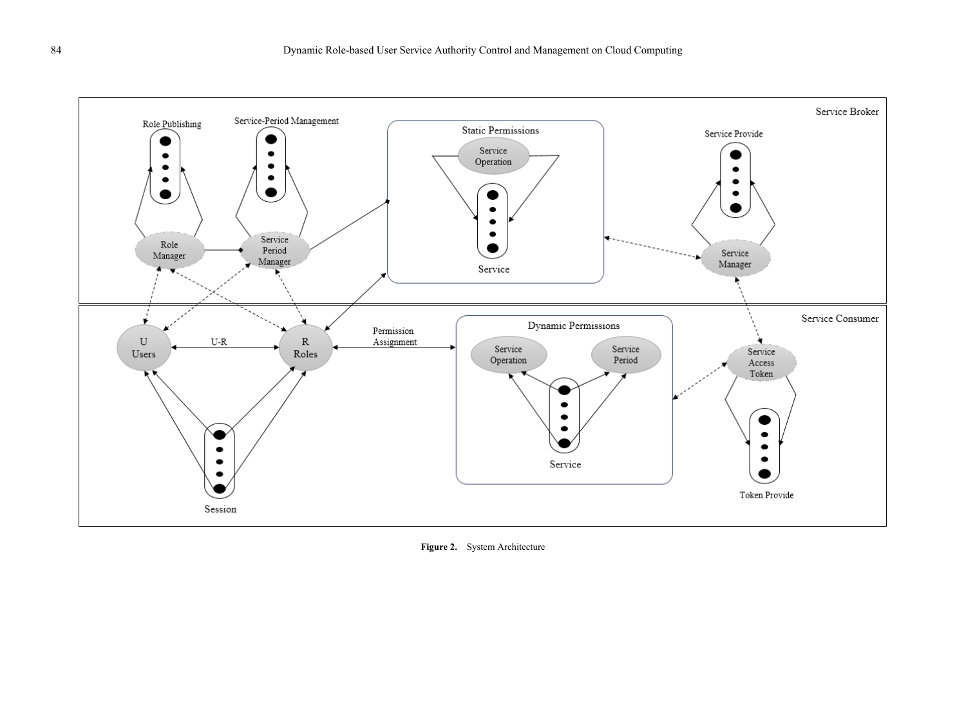

**Figure 2.** System Architecture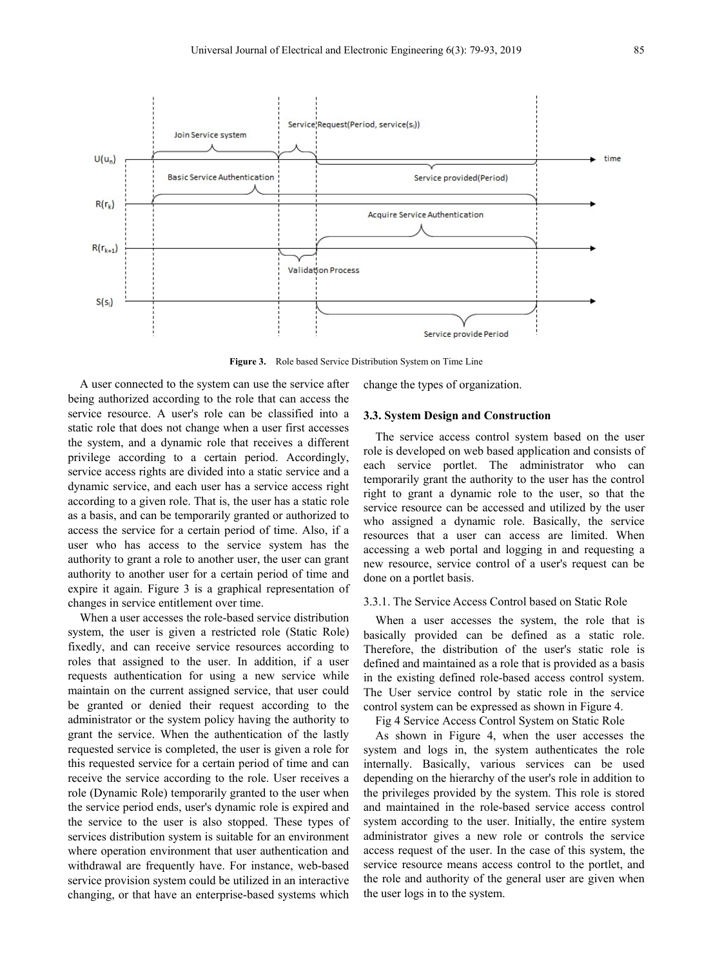

**Figure 3.** Role based Service Distribution System on Time Line

A user connected to the system can use the service after being authorized according to the role that can access the service resource. A user's role can be classified into a static role that does not change when a user first accesses the system, and a dynamic role that receives a different privilege according to a certain period. Accordingly, service access rights are divided into a static service and a dynamic service, and each user has a service access right according to a given role. That is, the user has a static role as a basis, and can be temporarily granted or authorized to access the service for a certain period of time. Also, if a user who has access to the service system has the authority to grant a role to another user, the user can grant authority to another user for a certain period of time and expire it again. Figure 3 is a graphical representation of changes in service entitlement over time.

When a user accesses the role-based service distribution system, the user is given a restricted role (Static Role) fixedly, and can receive service resources according to roles that assigned to the user. In addition, if a user requests authentication for using a new service while maintain on the current assigned service, that user could be granted or denied their request according to the administrator or the system policy having the authority to grant the service. When the authentication of the lastly requested service is completed, the user is given a role for this requested service for a certain period of time and can receive the service according to the role. User receives a role (Dynamic Role) temporarily granted to the user when the service period ends, user's dynamic role is expired and the service to the user is also stopped. These types of services distribution system is suitable for an environment where operation environment that user authentication and withdrawal are frequently have. For instance, web-based service provision system could be utilized in an interactive changing, or that have an enterprise-based systems which

change the types of organization.

#### **3.3. System Design and Construction**

The service access control system based on the user role is developed on web based application and consists of each service portlet. The administrator who can temporarily grant the authority to the user has the control right to grant a dynamic role to the user, so that the service resource can be accessed and utilized by the user who assigned a dynamic role. Basically, the service resources that a user can access are limited. When accessing a web portal and logging in and requesting a new resource, service control of a user's request can be done on a portlet basis.

#### 3.3.1. The Service Access Control based on Static Role

When a user accesses the system, the role that is basically provided can be defined as a static role. Therefore, the distribution of the user's static role is defined and maintained as a role that is provided as a basis in the existing defined role-based access control system. The User service control by static role in the service control system can be expressed as shown in Figure 4.

Fig 4 Service Access Control System on Static Role

As shown in Figure 4, when the user accesses the system and logs in, the system authenticates the role internally. Basically, various services can be used depending on the hierarchy of the user's role in addition to the privileges provided by the system. This role is stored and maintained in the role-based service access control system according to the user. Initially, the entire system administrator gives a new role or controls the service access request of the user. In the case of this system, the service resource means access control to the portlet, and the role and authority of the general user are given when the user logs in to the system.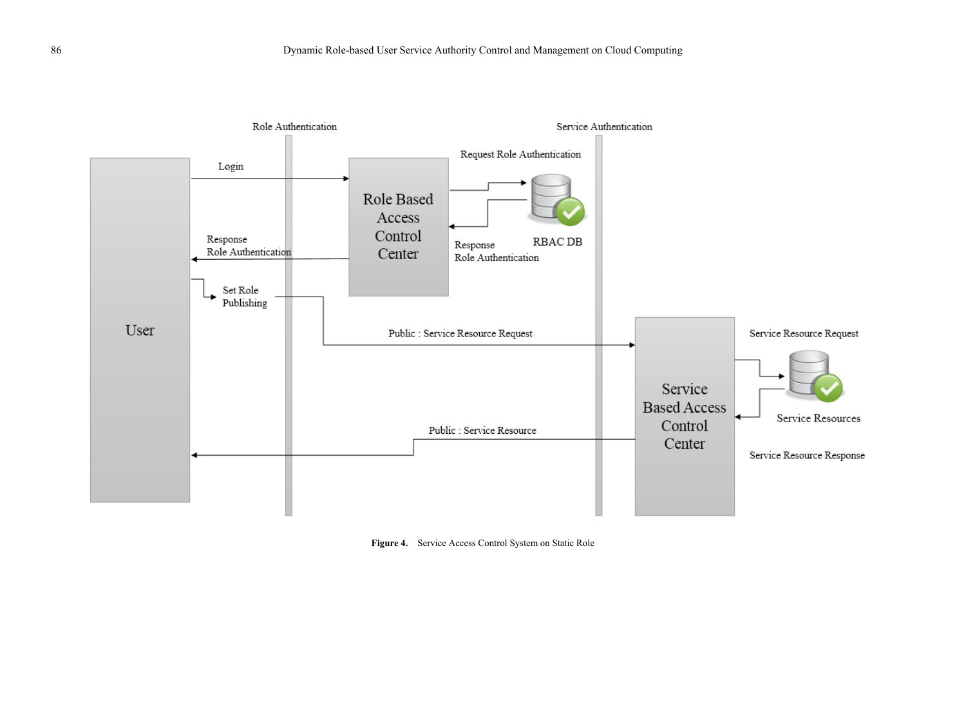

**Figure 4.** Service Access Control System on Static Role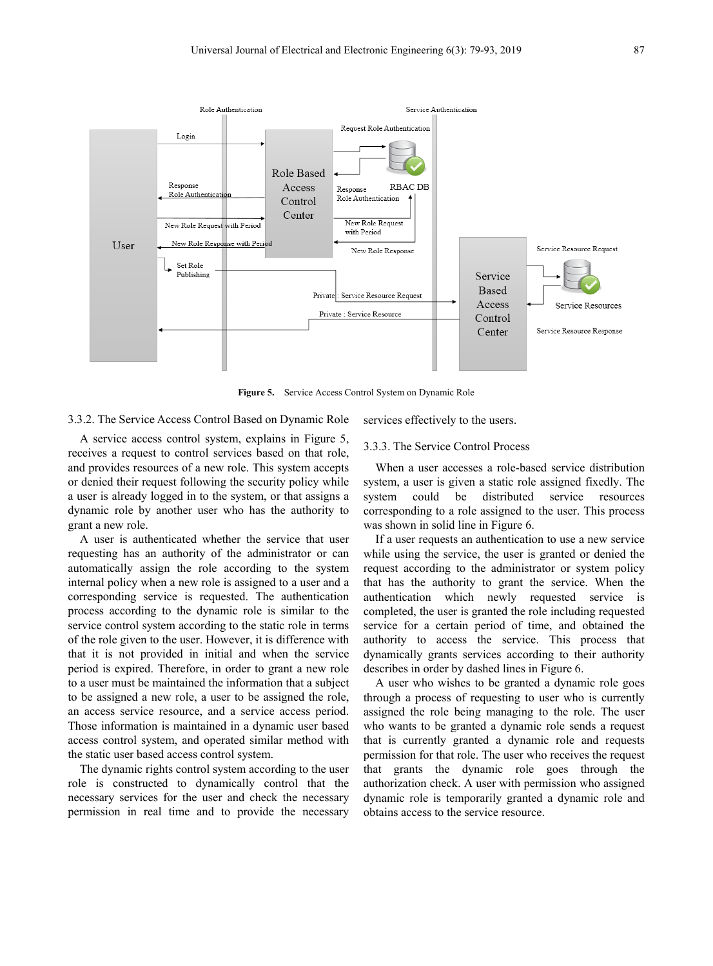

**Figure 5.** Service Access Control System on Dynamic Role

#### 3.3.2. The Service Access Control Based on Dynamic Role

A service access control system, explains in Figure 5, receives a request to control services based on that role, and provides resources of a new role. This system accepts or denied their request following the security policy while a user is already logged in to the system, or that assigns a dynamic role by another user who has the authority to grant a new role.

A user is authenticated whether the service that user requesting has an authority of the administrator or can automatically assign the role according to the system internal policy when a new role is assigned to a user and a corresponding service is requested. The authentication process according to the dynamic role is similar to the service control system according to the static role in terms of the role given to the user. However, it is difference with that it is not provided in initial and when the service period is expired. Therefore, in order to grant a new role to a user must be maintained the information that a subject to be assigned a new role, a user to be assigned the role, an access service resource, and a service access period. Those information is maintained in a dynamic user based access control system, and operated similar method with the static user based access control system.

The dynamic rights control system according to the user role is constructed to dynamically control that the necessary services for the user and check the necessary permission in real time and to provide the necessary services effectively to the users.

## 3.3.3. The Service Control Process

When a user accesses a role-based service distribution system, a user is given a static role assigned fixedly. The system could be distributed service resources corresponding to a role assigned to the user. This process was shown in solid line in Figure 6.

If a user requests an authentication to use a new service while using the service, the user is granted or denied the request according to the administrator or system policy that has the authority to grant the service. When the authentication which newly requested service is completed, the user is granted the role including requested service for a certain period of time, and obtained the authority to access the service. This process that dynamically grants services according to their authority describes in order by dashed lines in Figure 6.

A user who wishes to be granted a dynamic role goes through a process of requesting to user who is currently assigned the role being managing to the role. The user who wants to be granted a dynamic role sends a request that is currently granted a dynamic role and requests permission for that role. The user who receives the request that grants the dynamic role goes through the authorization check. A user with permission who assigned dynamic role is temporarily granted a dynamic role and obtains access to the service resource.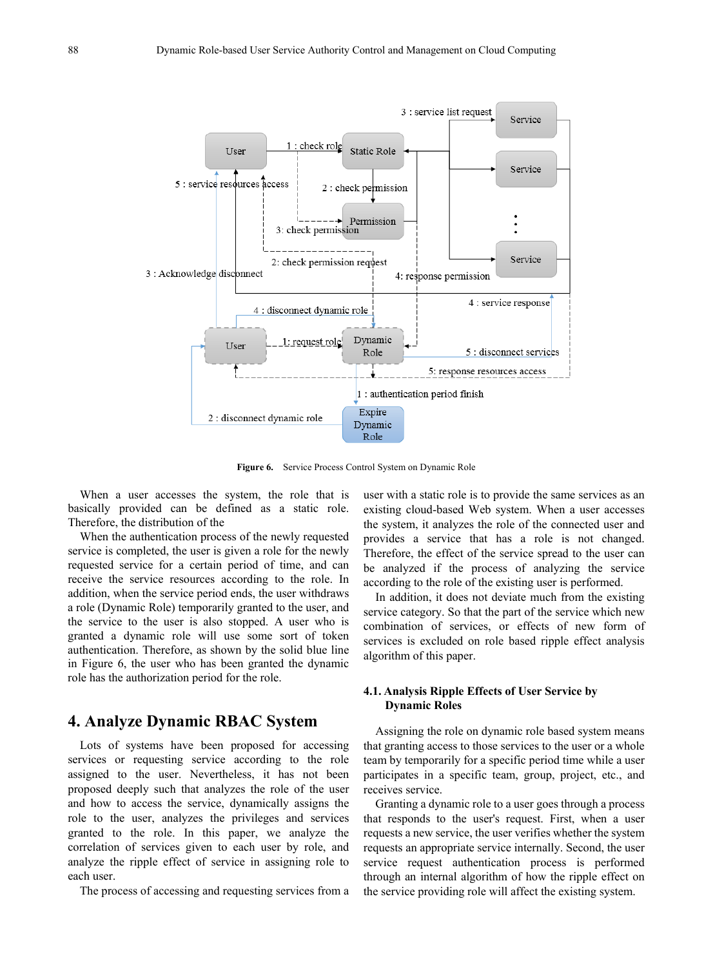

**Figure 6.** Service Process Control System on Dynamic Role

When a user accesses the system, the role that is basically provided can be defined as a static role. Therefore, the distribution of the

When the authentication process of the newly requested service is completed, the user is given a role for the newly requested service for a certain period of time, and can receive the service resources according to the role. In addition, when the service period ends, the user withdraws a role (Dynamic Role) temporarily granted to the user, and the service to the user is also stopped. A user who is granted a dynamic role will use some sort of token authentication. Therefore, as shown by the solid blue line in Figure 6, the user who has been granted the dynamic role has the authorization period for the role.

# **4. Analyze Dynamic RBAC System**

Lots of systems have been proposed for accessing services or requesting service according to the role assigned to the user. Nevertheless, it has not been proposed deeply such that analyzes the role of the user and how to access the service, dynamically assigns the role to the user, analyzes the privileges and services granted to the role. In this paper, we analyze the correlation of services given to each user by role, and analyze the ripple effect of service in assigning role to each user.

The process of accessing and requesting services from a

user with a static role is to provide the same services as an existing cloud-based Web system. When a user accesses the system, it analyzes the role of the connected user and provides a service that has a role is not changed. Therefore, the effect of the service spread to the user can be analyzed if the process of analyzing the service according to the role of the existing user is performed.

In addition, it does not deviate much from the existing service category. So that the part of the service which new combination of services, or effects of new form of services is excluded on role based ripple effect analysis algorithm of this paper.

## **4.1. Analysis Ripple Effects of User Service by Dynamic Roles**

Assigning the role on dynamic role based system means that granting access to those services to the user or a whole team by temporarily for a specific period time while a user participates in a specific team, group, project, etc., and receives service.

Granting a dynamic role to a user goes through a process that responds to the user's request. First, when a user requests a new service, the user verifies whether the system requests an appropriate service internally. Second, the user service request authentication process is performed through an internal algorithm of how the ripple effect on the service providing role will affect the existing system.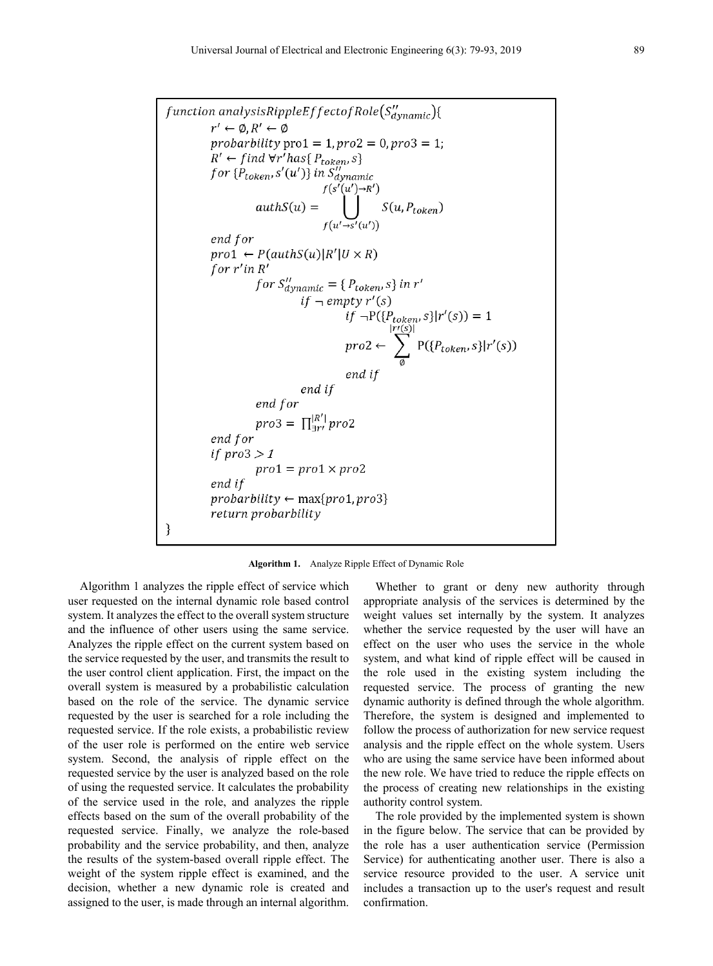$function$  analysisRippleEffectofRole $(S''_{dynamic})$ {  $r' \leftarrow \emptyset$ ,  $R' \leftarrow \emptyset$ probarbility pro $1 = 1$ , pro $2 = 0$ , pro $3 = 1$ ; probability pro $1 - 1$ , pro $2 - 0$ , pro $5 - 1$ ;<br>  $R' \leftarrow \text{find } \forall r' \text{has} \{ P_{token}, s \}$ <br>
for  $\{ P_{token}, s'(u') \}$  in  $S''_{dynamic}$ <br>  $f(s'(u') \rightarrow R')$ <br>  $authS(u) = \bigcup_{f(u' \rightarrow s'(u'))} S(u, P_{token})$ end for  $proj \leftarrow P(authS(u) | R' | U \times R)$ for  $r'$ in  $R'$  $\begin{aligned} &for\ S''_{dynamic} = \{P_{token}, s\} \: in\ r' \\ &if\ \neg\ empty\ r'(s) \end{aligned}$  $\inf_{\substack{r \to P(\{P_{token}, s\}|r'(s)) = 1}}$ <br>  $\text{pro2} \leftarrow \sum_{\emptyset} P(\{P_{token}, s\}|r'(s))$ end if end if end for *pro3* =  $\prod_{\exists r}^{|R'|} pro2$ end for if  $proj > 1$  $pro1 = pro1 \times pro2$ end if  $probability \leftarrow max\{pro1, pro3\}$ return probarbility }

#### **Algorithm 1.** Analyze Ripple Effect of Dynamic Role

Algorithm 1 analyzes the ripple effect of service which user requested on the internal dynamic role based control system. It analyzes the effect to the overall system structure and the influence of other users using the same service. Analyzes the ripple effect on the current system based on the service requested by the user, and transmits the result to the user control client application. First, the impact on the overall system is measured by a probabilistic calculation based on the role of the service. The dynamic service requested by the user is searched for a role including the requested service. If the role exists, a probabilistic review of the user role is performed on the entire web service system. Second, the analysis of ripple effect on the requested service by the user is analyzed based on the role of using the requested service. It calculates the probability of the service used in the role, and analyzes the ripple effects based on the sum of the overall probability of the requested service. Finally, we analyze the role-based probability and the service probability, and then, analyze the results of the system-based overall ripple effect. The weight of the system ripple effect is examined, and the decision, whether a new dynamic role is created and assigned to the user, is made through an internal algorithm.

Whether to grant or deny new authority through appropriate analysis of the services is determined by the weight values set internally by the system. It analyzes whether the service requested by the user will have an effect on the user who uses the service in the whole system, and what kind of ripple effect will be caused in the role used in the existing system including the requested service. The process of granting the new dynamic authority is defined through the whole algorithm. Therefore, the system is designed and implemented to follow the process of authorization for new service request analysis and the ripple effect on the whole system. Users who are using the same service have been informed about the new role. We have tried to reduce the ripple effects on the process of creating new relationships in the existing authority control system.

The role provided by the implemented system is shown in the figure below. The service that can be provided by the role has a user authentication service (Permission Service) for authenticating another user. There is also a service resource provided to the user. A service unit includes a transaction up to the user's request and result confirmation.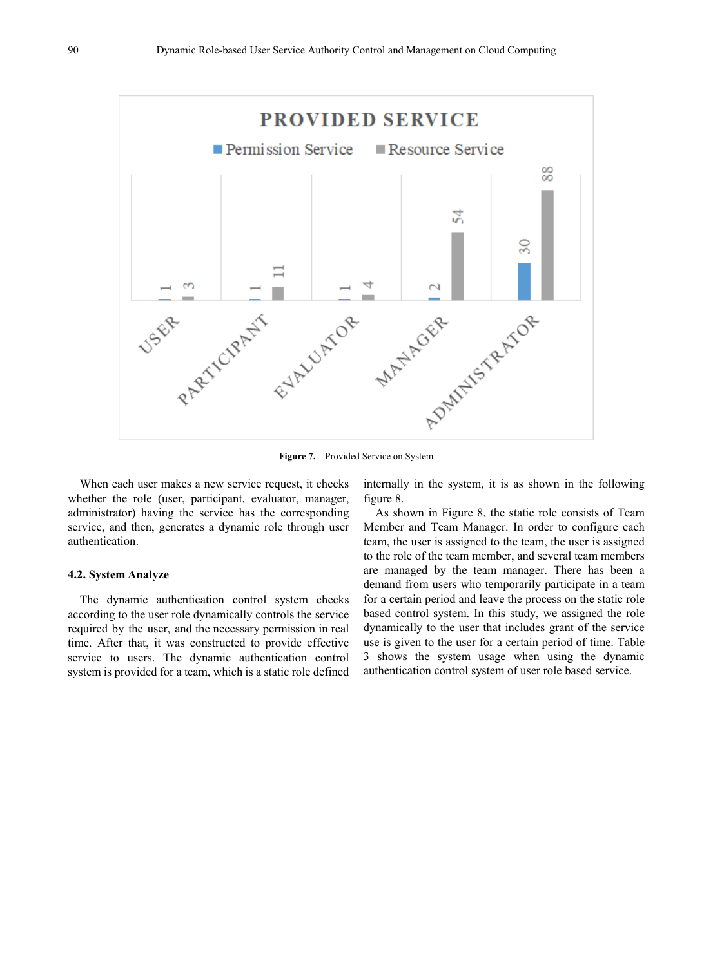

When each user makes a new service request, it checks whether the role (user, participant, evaluator, manager, administrator) having the service has the corresponding service, and then, generates a dynamic role through user authentication.

#### **4.2. System Analyze**

The dynamic authentication control system checks according to the user role dynamically controls the service required by the user, and the necessary permission in real time. After that, it was constructed to provide effective service to users. The dynamic authentication control system is provided for a team, which is a static role defined

internally in the system, it is as shown in the following figure 8.

As shown in Figure 8, the static role consists of Team Member and Team Manager. In order to configure each team, the user is assigned to the team, the user is assigned to the role of the team member, and several team members are managed by the team manager. There has been a demand from users who temporarily participate in a team for a certain period and leave the process on the static role based control system. In this study, we assigned the role dynamically to the user that includes grant of the service use is given to the user for a certain period of time. Table 3 shows the system usage when using the dynamic authentication control system of user role based service.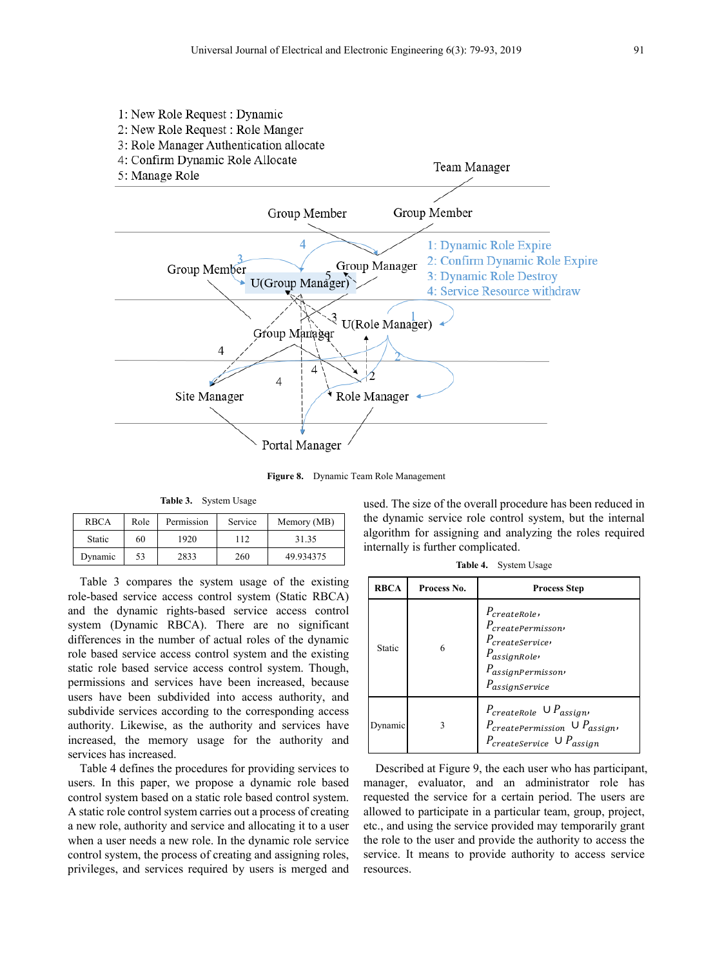

**Figure 8.** Dynamic Team Role Management

**Table 3.** System Usage

| <b>RBCA</b>   | Role | Permission | Service | Memory (MB) |
|---------------|------|------------|---------|-------------|
| <b>Static</b> | 60   | 1920       | 112     | 31.35       |
| Dynamic       | 53   | 2833       | 260     | 49.934375   |

Table 3 compares the system usage of the existing role-based service access control system (Static RBCA) and the dynamic rights-based service access control system (Dynamic RBCA). There are no significant differences in the number of actual roles of the dynamic role based service access control system and the existing static role based service access control system. Though, permissions and services have been increased, because users have been subdivided into access authority, and subdivide services according to the corresponding access authority. Likewise, as the authority and services have increased, the memory usage for the authority and services has increased.

Table 4 defines the procedures for providing services to users. In this paper, we propose a dynamic role based control system based on a static role based control system. A static role control system carries out a process of creating a new role, authority and service and allocating it to a user when a user needs a new role. In the dynamic role service control system, the process of creating and assigning roles, privileges, and services required by users is merged and

used. The size of the overall procedure has been reduced in the dynamic service role control system, but the internal algorithm for assigning and analyzing the roles required internally is further complicated.

| Table 4. | System Usage |  |
|----------|--------------|--|
|----------|--------------|--|

| <b>RBCA</b> | Process No. | <b>Process Step</b>                                                                                                                    |
|-------------|-------------|----------------------------------------------------------------------------------------------------------------------------------------|
| Static      | 6           | $P_{createRole}$<br>$P_{createPermission}$<br>$P_{createService}$<br>$P_{assignRole}$<br>$P_{assignPermission}$<br>$P_{assignService}$ |
| Dynamic     |             | $P_{create Role} \cup P_{assign}$<br>$P_{\text{createPermission}} \cup P_{\text{assign}}$<br>$P_{createService} \cup P_{assign}$       |

Described at Figure 9, the each user who has participant, manager, evaluator, and an administrator role has requested the service for a certain period. The users are allowed to participate in a particular team, group, project, etc., and using the service provided may temporarily grant the role to the user and provide the authority to access the service. It means to provide authority to access service resources.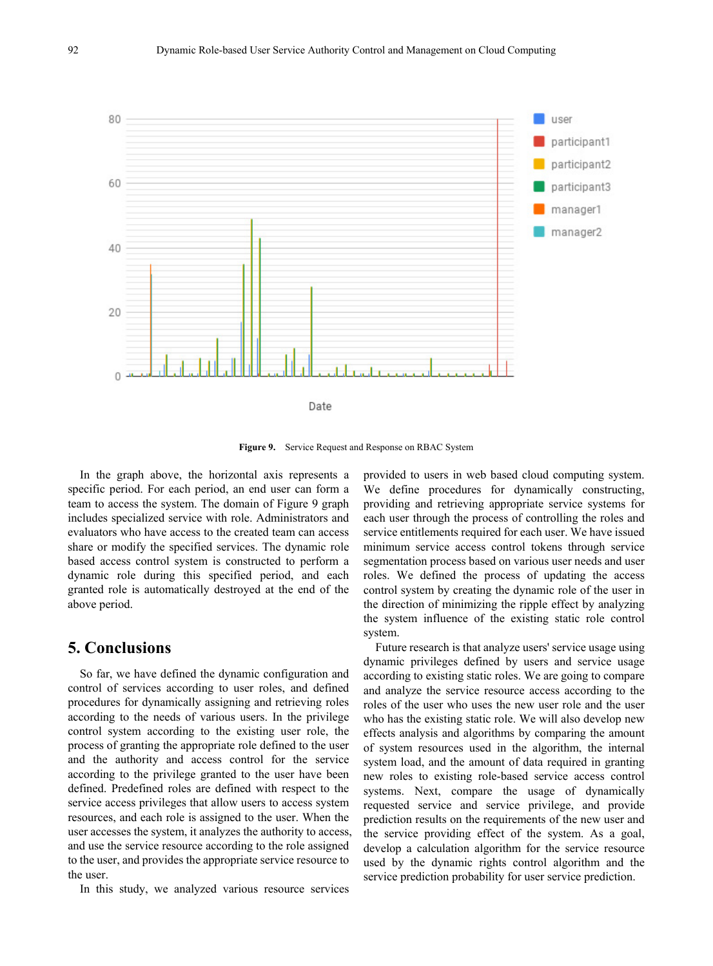

**Figure 9.** Service Request and Response on RBAC System

In the graph above, the horizontal axis represents a specific period. For each period, an end user can form a team to access the system. The domain of Figure 9 graph includes specialized service with role. Administrators and evaluators who have access to the created team can access share or modify the specified services. The dynamic role based access control system is constructed to perform a dynamic role during this specified period, and each granted role is automatically destroyed at the end of the above period.

# **5. Conclusions**

So far, we have defined the dynamic configuration and control of services according to user roles, and defined procedures for dynamically assigning and retrieving roles according to the needs of various users. In the privilege control system according to the existing user role, the process of granting the appropriate role defined to the user and the authority and access control for the service according to the privilege granted to the user have been defined. Predefined roles are defined with respect to the service access privileges that allow users to access system resources, and each role is assigned to the user. When the user accesses the system, it analyzes the authority to access, and use the service resource according to the role assigned to the user, and provides the appropriate service resource to the user.

In this study, we analyzed various resource services

provided to users in web based cloud computing system. We define procedures for dynamically constructing, providing and retrieving appropriate service systems for each user through the process of controlling the roles and service entitlements required for each user. We have issued minimum service access control tokens through service segmentation process based on various user needs and user roles. We defined the process of updating the access control system by creating the dynamic role of the user in the direction of minimizing the ripple effect by analyzing the system influence of the existing static role control system.

Future research is that analyze users' service usage using dynamic privileges defined by users and service usage according to existing static roles. We are going to compare and analyze the service resource access according to the roles of the user who uses the new user role and the user who has the existing static role. We will also develop new effects analysis and algorithms by comparing the amount of system resources used in the algorithm, the internal system load, and the amount of data required in granting new roles to existing role-based service access control systems. Next, compare the usage of dynamically requested service and service privilege, and provide prediction results on the requirements of the new user and the service providing effect of the system. As a goal, develop a calculation algorithm for the service resource used by the dynamic rights control algorithm and the service prediction probability for user service prediction.